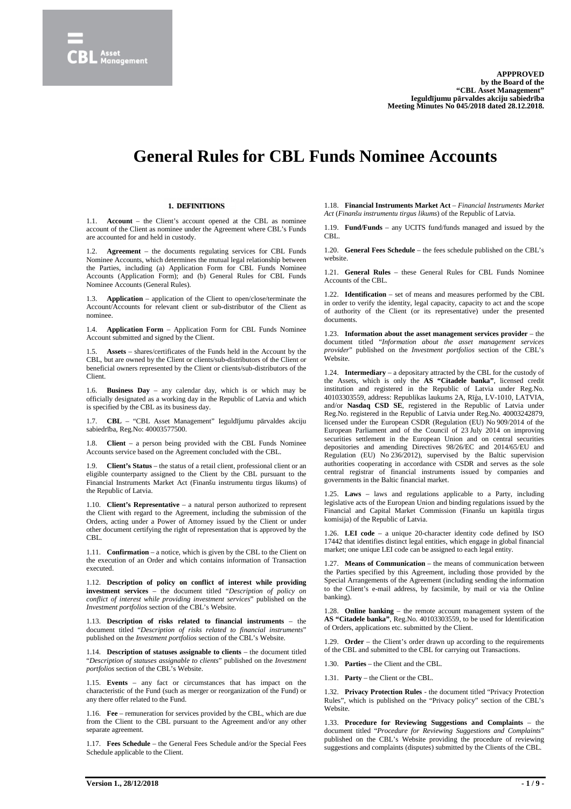

# **General Rules for CBL Funds Nominee Accounts**

# **1. DEFINITIONS**

1.1. **Account** – the Client's account opened at the CBL as nominee account of the Client as nominee under the Agreement where CBL's Funds are accounted for and held in custody.

1.2. **Agreement** – the documents regulating services for CBL Funds Nominee Accounts, which determines the mutual legal relationship between the Parties, including (a) Application Form for CBL Funds Nominee Accounts (Application Form); and (b) General Rules for CBL Funds Nominee Accounts (General Rules).

1.3. **Application** – application of the Client to open/close/terminate the Account/Accounts for relevant client or sub-distributor of the Client as nominee.

1.4. **Application Form** – Application Form for CBL Funds Nominee Account submitted and signed by the Client.

1.5. **Assets** – shares/certificates of the Funds held in the Account by the CBL, but are owned by the Client or clients/sub-distributors of the Client or beneficial owners represented by the Client or clients/sub-distributors of the Client.

**Business Day** – any calendar day, which is or which may be officially designated as a working day in the Republic of Latvia and which is specified by the CBL as its business day.

1.7. **CBL** – "CBL Asset Management" Ieguldījumu pārvaldes akciju sabiedrība, Reg.No: 40003577500.

1.8. **Client** – a person being provided with the CBL Funds Nominee Accounts service based on the Agreement concluded with the CBL.

1.9. **Client's Status** – the status of a retail client, professional client or an eligible counterparty assigned to the Client by the CBL pursuant to the Financial Instruments Market Act (Finanšu instrumentu tirgus likums) of the Republic of Latvia.

1.10. **Client's Representative** – a natural person authorized to represent the Client with regard to the Agreement, including the submission of the Orders, acting under a Power of Attorney issued by the Client or under other document certifying the right of representation that is approved by the CBL.

1.11. **Confirmation** – a notice, which is given by the CBL to the Client on the execution of an Order and which contains information of Transaction executed.

1.12. **Description of policy on conflict of interest while providing investment services** – the document titled "*Description of policy on conflict of interest while providing investment services*" published on the *Investment portfolios* section of the CBL's Website.

1.13. **Description of risks related to financial instruments** – the document titled "*Description of risks related to financial instruments*" published on the *Investment portfolios* section of the CBL's Website.

1.14. **Description of statuses assignable to clients** – the document titled "*Description of statuses assignable to clients*" published on the *Investment portfolios* section of the CBL's Website.

1.15. **Events** – any fact or circumstances that has impact on the characteristic of the Fund (such as merger or reorganization of the Fund) or any there offer related to the Fund.

1.16. **Fee** – remuneration for services provided by the CBL, which are due from the Client to the CBL pursuant to the Agreement and/or any other separate agreement.

1.17. **Fees Schedule** – the General Fees Schedule and/or the Special Fees Schedule applicable to the Client.

1.18. **Financial Instruments Market Act** – *Financial Instruments Market Act* (*Finanšu instrumentu tirgus likums*) of the Republic of Latvia.

1.19. **Fund/Funds** – any UCITS fund/funds managed and issued by the CBL.

1.20. **General Fees Schedule** – the fees schedule published on the CBL's website

1.21. **General Rules** – these General Rules for CBL Funds Nominee Accounts of the CBL.

1.22. **Identification** – set of means and measures performed by the CBL in order to verify the identity, legal capacity, capacity to act and the scope of authority of the Client (or its representative) under the presented documents.

1.23. **Information about the asset management services provider** – the document titled "*Information about the asset management services provider*" published on the *Investment portfolios* section of the CBL's Website.

1.24. **Intermediary** – a depositary attracted by the CBL for the custody of the Assets, which is only the **AS "Citadele banka"**, licensed credit institution and registered in the Republic of Latvia under Reg.No. 40103303559, address: Republikas laukums 2A, Rīģa, LV-1010, LATVIA, and/or **Nasdaq CSD SE**, registered in the Republic of Latvia under Reg.No. registered in the Republic of Latvia under Reg.No. 40003242879, licensed under the European CSDR (Regulation (EU) No 909/2014 of the European Parliament and of the Council of 23 July 2014 on improving securities settlement in the European Union and on central securities depositories and amending Directives 98/26/EC and 2014/65/EU and Regulation (EU) No 236/2012), supervised by the Baltic supervision authorities cooperating in accordance with CSDR and serves as the sole central registrar of financial instruments issued by companies and governments in the Baltic financial market.

1.25. **Laws** – laws and regulations applicable to a Party, including legislative acts of the European Union and binding regulations issued by the Financial and Capital Market Commission (Finanšu un kapitāla tirgus komisija) of the Republic of Latvia.

1.26. **LEI code** – a unique 20-character identity code defined by ISO 17442 that identifies distinct legal entities, which engage in global financial market; one unique LEI code can be assigned to each legal entity.

1.27. **Means of Communication** – the means of communication between the Parties specified by this Agreement, including those provided by the Special Arrangements of the Agreement (including sending the information to the Client's e-mail address, by facsimile, by mail or via the Online banking).

1.28. **Online banking** – the remote account management system of the **AS "Citadele banka"**, Reg.No. 40103303559, to be used for Identification of Orders, applications etc. submitted by the Client.

1.29. **Order** – the Client's order drawn up according to the requirements of the CBL and submitted to the CBL for carrying out Transactions.

1.30. **Parties** – the Client and the CBL.

1.31. **Party** – the Client or the CBL.

1.32. **Privacy Protection Rules** - the document titled "Privacy Protection Rules", which is published on the "Privacy policy" section of the CBL's Website.

1.33. **Procedure for Reviewing Suggestions and Complaints** – the document titled "*Procedure for Reviewing Suggestions and Complaints*" published on the CBL's Website providing the procedure of reviewing suggestions and complaints (disputes) submitted by the Clients of the CBL.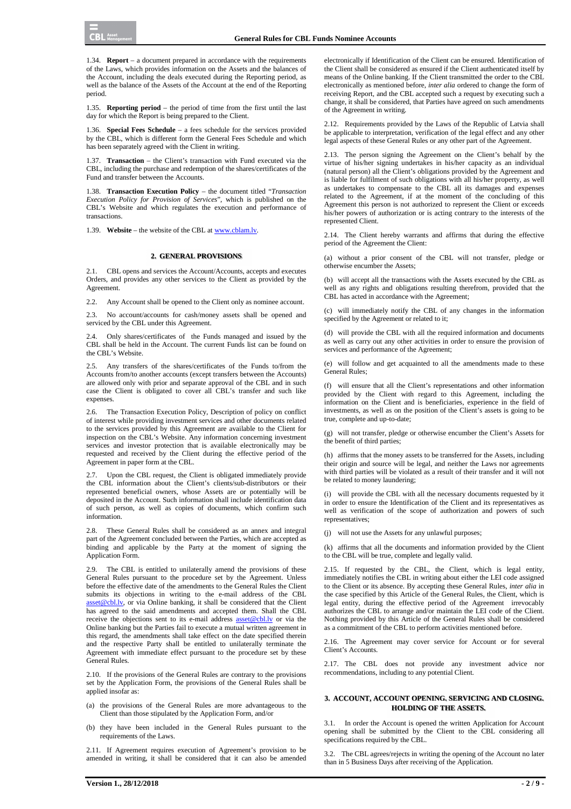1.34. **Report** – a document prepared in accordance with the requirements of the Laws, which provides information on the Assets and the balances of the Account, including the deals executed during the Reporting period, as well as the balance of the Assets of the Account at the end of the Reporting period.

1.35. **Reporting period** – the period of time from the first until the last day for which the Report is being prepared to the Client.

1.36. **Special Fees Schedule** – a fees schedule for the services provided by the CBL, which is different form the General Fees Schedule and which has been separately agreed with the Client in writing.

1.37. **Transaction** – the Client's transaction with Fund executed via the CBL, including the purchase and redemption of the shares/certificates of the Fund and transfer between the Accounts.

1.38. **Transaction Execution Policy** – the document titled "*Transaction Execution Policy for Provision of Services*", which is published on the CBL's Website and which regulates the execution and performance of transactions.

1.39. **Website** – the website of the CBL at www.cblam.lv.

## **2. GENERAL PROVISIONS**

2.1. CBL opens and services the Account/Accounts, accepts and executes Orders, and provides any other services to the Client as provided by the Agreement.

2.2. Any Account shall be opened to the Client only as nominee account.

2.3. No account/accounts for cash/money assets shall be opened and serviced by the CBL under this Agreement.

2.4. Only shares/certificates of the Funds managed and issued by the CBL shall be held in the Account. The current Funds list can be found on the CBL's Website.

2.5. Any transfers of the shares/certificates of the Funds to/from the Accounts from/to another accounts (except transfers between the Accounts) are allowed only with prior and separate approval of the CBL and in such case the Client is obligated to cover all CBL's transfer and such like expenses.

2.6. The Transaction Execution Policy, Description of policy on conflict of interest while providing investment services and other documents related to the services provided by this Agreement are available to the Client for inspection on the CBL's Website. Any information concerning investment services and investor protection that is available electronically may be requested and received by the Client during the effective period of the Agreement in paper form at the CBL.

2.7. Upon the CBL request, the Client is obligated immediately provide the CBL information about the Client's clients/sub-distributors or their represented beneficial owners, whose Assets are or potentially will be deposited in the Account. Such information shall include identification data of such person, as well as copies of documents, which confirm such information.

2.8. These General Rules shall be considered as an annex and integral part of the Agreement concluded between the Parties, which are accepted as binding and applicable by the Party at the moment of signing the Application Form.

2.9. The CBL is entitled to unilaterally amend the provisions of these General Rules pursuant to the procedure set by the Agreement. Unless before the effective date of the amendments to the General Rules the Client submits its objections in writing to the e-mail address of the CBL asset@cbl.lv, or via Online banking, it shall be considered that the Client has agreed to the said amendments and accepted them. Shall the CBL receive the objections sent to its e-mail address **asset@cbl.lv** or via the Online banking but the Parties fail to execute a mutual written agreement in this regard, the amendments shall take effect on the date specified therein and the respective Party shall be entitled to unilaterally terminate the Agreement with immediate effect pursuant to the procedure set by these General Rules.

2.10. If the provisions of the General Rules are contrary to the provisions set by the Application Form, the provisions of the General Rules shall be applied insofar as:

- (a) the provisions of the General Rules are more advantageous to the Client than those stipulated by the Application Form, and/or
- (b) they have been included in the General Rules pursuant to the requirements of the Laws.

2.11. If Agreement requires execution of Agreement's provision to be amended in writing, it shall be considered that it can also be amended electronically if Identification of the Client can be ensured. Identification of the Client shall be considered as ensured if the Client authenticated itself by means of the Online banking. If the Client transmitted the order to the CBL electronically as mentioned before, *inter alia* ordered to change the form of receiving Report, and the CBL accepted such a request by executing such a change, it shall be considered, that Parties have agreed on such amendments of the Agreement in writing.

2.12. Requirements provided by the Laws of the Republic of Latvia shall be applicable to interpretation, verification of the legal effect and any other legal aspects of these General Rules or any other part of the Agreement.

2.13. The person signing the Agreement on the Client's behalf by the virtue of his/her signing undertakes in his/her capacity as an individual (natural person) all the Client's obligations provided by the Agreement and is liable for fulfilment of such obligations with all his/her property, as well as undertakes to compensate to the CBL all its damages and expenses related to the Agreement, if at the moment of the concluding of this Agreement this person is not authorized to represent the Client or exceeds his/her powers of authorization or is acting contrary to the interests of the represented Client.

2.14. The Client hereby warrants and affirms that during the effective period of the Agreement the Client:

(a) without a prior consent of the CBL will not transfer, pledge or otherwise encumber the Assets;

(b) will accept all the transactions with the Assets executed by the CBL as well as any rights and obligations resulting therefrom, provided that the CBL has acted in accordance with the Agreement;

(c) will immediately notify the CBL of any changes in the information specified by the Agreement or related to it;

(d) will provide the CBL with all the required information and documents as well as carry out any other activities in order to ensure the provision of services and performance of the Agreement;

(e) will follow and get acquainted to all the amendments made to these General Rules;

(f) will ensure that all the Client's representations and other information provided by the Client with regard to this Agreement, including the information on the Client and is beneficiaries, experience in the field of investments, as well as on the position of the Client's assets is going to be true, complete and up-to-date;

(g) will not transfer, pledge or otherwise encumber the Client's Assets for the benefit of third parties;

(h) affirms that the money assets to be transferred for the Assets, including their origin and source will be legal, and neither the Laws nor agreements with third parties will be violated as a result of their transfer and it will not be related to money laundering;

(i) will provide the CBL with all the necessary documents requested by it in order to ensure the Identification of the Client and its representatives as well as verification of the scope of authorization and powers of such representatives;

(j) will not use the Assets for any unlawful purposes;

(k) affirms that all the documents and information provided by the Client to the CBL will be true, complete and legally valid.

2.15. If requested by the CBL, the Client, which is legal entity, immediately notifies the CBL in writing about either the LEI code assigned to the Client or its absence. By accepting these General Rules, *inter alia* in the case specified by this Article of the General Rules, the Client, which is legal entity, during the effective period of the Agreement irrevocably authorizes the CBL to arrange and/or maintain the LEI code of the Client. Nothing provided by this Article of the General Rules shall be considered as a commitment of the CBL to perform activities mentioned before.

2.16. The Agreement may cover service for Account or for several Client's Accounts.

2.17. The CBL does not provide any investment advice nor recommendations, including to any potential Client.

# **3. ACCOUNT, ACCOUNT OPENING, SERVICING AND CLOSING. HOLDING OF THE ASSETS.**

3.1. In order the Account is opened the written Application for Account opening shall be submitted by the Client to the CBL considering all specifications required by the CBL.

3.2. The CBL agrees/rejects in writing the opening of the Account no later than in 5 Business Days after receiving of the Application.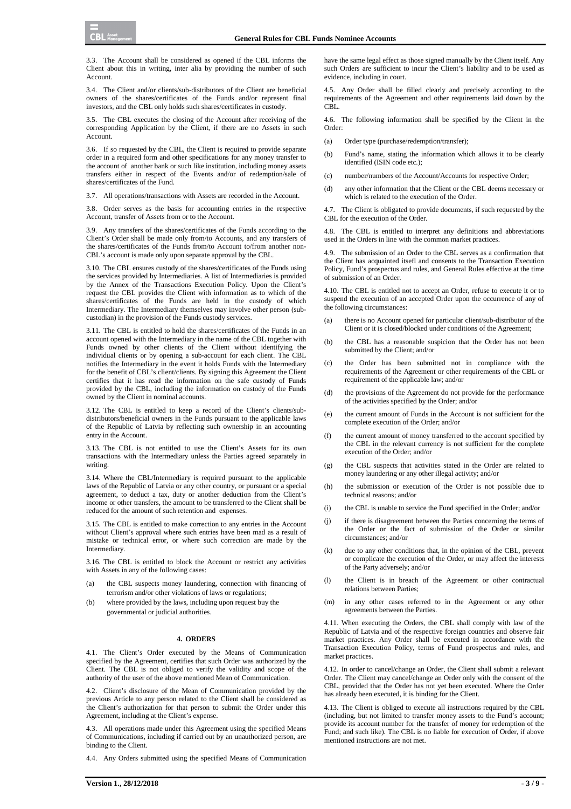$CRI$  Asset

3.3. The Account shall be considered as opened if the CBL informs the Client about this in writing, inter alia by providing the number of such Account.

3.4. The Client and/or clients/sub-distributors of the Client are beneficial owners of the shares/certificates of the Funds and/or represent final investors, and the CBL only holds such shares/certificates in custody.

3.5. The CBL executes the closing of the Account after receiving of the corresponding Application by the Client, if there are no Assets in such Account.

3.6. If so requested by the CBL, the Client is required to provide separate order in a required form and other specifications for any money transfer to the account of another bank or such like institution, including money assets transfers either in respect of the Events and/or of redemption/sale of shares/certificates of the Fund.

3.7. All operations/transactions with Assets are recorded in the Account.

3.8. Order serves as the basis for accounting entries in the respective Account, transfer of Assets from or to the Account.

3.9. Any transfers of the shares/certificates of the Funds according to the Client's Order shall be made only from/to Accounts, and any transfers of the shares/certificates of the Funds from/to Account to/from another non-CBL's account is made only upon separate approval by the CBL.

3.10. The CBL ensures custody of the shares/certificates of the Funds using the services provided by Intermediaries. A list of Intermediaries is provided by the Annex of the Transactions Execution Policy. Upon the Client's request the CBL provides the Client with information as to which of the shares/certificates of the Funds are held in the custody of which Intermediary. The Intermediary themselves may involve other person (subcustodian) in the provision of the Funds custody services.

3.11. The CBL is entitled to hold the shares/certificates of the Funds in an account opened with the Intermediary in the name of the CBL together with Funds owned by other clients of the Client without identifying the individual clients or by opening a sub-account for each client. The CBL notifies the Intermediary in the event it holds Funds with the Intermediary for the benefit of CBL's client/clients. By signing this Agreement the Client certifies that it has read the information on the safe custody of Funds provided by the CBL, including the information on custody of the Funds owned by the Client in nominal accounts.

3.12. The CBL is entitled to keep a record of the Client's clients/subdistributors/beneficial owners in the Funds pursuant to the applicable laws of the Republic of Latvia by reflecting such ownership in an accounting entry in the Account.

3.13. The CBL is not entitled to use the Client's Assets for its own transactions with the Intermediary unless the Parties agreed separately in writing.

3.14. Where the CBL/Intermediary is required pursuant to the applicable laws of the Republic of Latvia or any other country, or pursuant or a special agreement, to deduct a tax, duty or another deduction from the Client's income or other transfers, the amount to be transferred to the Client shall be reduced for the amount of such retention and expenses.

3.15. The CBL is entitled to make correction to any entries in the Account without Client's approval where such entries have been mad as a result of mistake or technical error, or where such correction are made by the Intermediary.

3.16. The CBL is entitled to block the Account or restrict any activities with Assets in any of the following cases:

- (a) the CBL suspects money laundering, connection with financing of terrorism and/or other violations of laws or regulations;
- (b) where provided by the laws, including upon request buy the governmental or judicial authorities.

# **4. ORDERS**

4.1. The Client's Order executed by the Means of Communication specified by the Agreement, certifies that such Order was authorized by the Client. The CBL is not obliged to verify the validity and scope of the authority of the user of the above mentioned Mean of Communication.

4.2. Client's disclosure of the Mean of Communication provided by the previous Article to any person related to the Client shall be considered as the Client's authorization for that person to submit the Order under this Agreement, including at the Client's expense.

4.3. All operations made under this Agreement using the specified Means of Communications, including if carried out by an unauthorized person, are binding to the Client.

4.4. Any Orders submitted using the specified Means of Communication

have the same legal effect as those signed manually by the Client itself. Any such Orders are sufficient to incur the Client's liability and to be used as evidence, including in court.

4.5. Any Order shall be filled clearly and precisely according to the requirements of the Agreement and other requirements laid down by the  $CRI$ 

4.6. The following information shall be specified by the Client in the Order:

- (a) Order type (purchase/redemption/transfer);
- (b) Fund's name, stating the information which allows it to be clearly identified (ISIN code etc.);
- (c) number/numbers of the Account/Accounts for respective Order;
- (d) any other information that the Client or the CBL deems necessary or which is related to the execution of the Order.

The Client is obligated to provide documents, if such requested by the CBL for the execution of the Order.

4.8. The CBL is entitled to interpret any definitions and abbreviations used in the Orders in line with the common market practices.

4.9. The submission of an Order to the CBL serves as a confirmation that the Client has acquainted itsefl and consents to the Transaction Execution Policy, Fund's prospectus and rules, and General Rules effective at the time of submission of an Order.

4.10. The CBL is entitled not to accept an Order, refuse to execute it or to suspend the execution of an accepted Order upon the occurrence of any of the following circumstances:

- there is no Account opened for particular client/sub-distributor of the Client or it is closed/blocked under conditions of the Agreement;
- (b) the CBL has a reasonable suspicion that the Order has not been submitted by the Client; and/or
- (c) the Order has been submitted not in compliance with the requirements of the Agreement or other requirements of the CBL or requirement of the applicable law; and/or
- (d) the provisions of the Agreement do not provide for the performance of the activities specified by the Order; and/or
- (e) the current amount of Funds in the Account is not sufficient for the complete execution of the Order; and/or
- (f) the current amount of money transferred to the account specified by the CBL in the relevant currency is not sufficient for the complete execution of the Order; and/or
- (g) the CBL suspects that activities stated in the Order are related to money laundering or any other illegal activity; and/or
- (h) the submission or execution of the Order is not possible due to technical reasons; and/or
- (i) the CBL is unable to service the Fund specified in the Order; and/or
- (j) if there is disagreement between the Parties concerning the terms of the Order or the fact of submission of the Order or similar circumstances; and/or
- (k) due to any other conditions that, in the opinion of the CBL, prevent or complicate the execution of the Order, or may affect the interests of the Party adversely; and/or
- (l) the Client is in breach of the Agreement or other contractual relations between Parties;
- (m) in any other cases referred to in the Agreement or any other agreements between the Parties.

4.11. When executing the Orders, the CBL shall comply with law of the Republic of Latvia and of the respective foreign countries and observe fair market practices. Any Order shall be executed in accordance with the Transaction Execution Policy, terms of Fund prospectus and rules, and market practices.

4.12. In order to cancel/change an Order, the Client shall submit a relevant Order. The Client may cancel/change an Order only with the consent of the CBL, provided that the Order has not yet been executed. Where the Order has already been executed, it is binding for the Client.

4.13. The Client is obliged to execute all instructions required by the CBL (including, but not limited to transfer money assets to the Fund's account; provide its account number for the transfer of money for redemption of the Fund; and such like). The CBL is no liable for execution of Order, if above mentioned instructions are not met.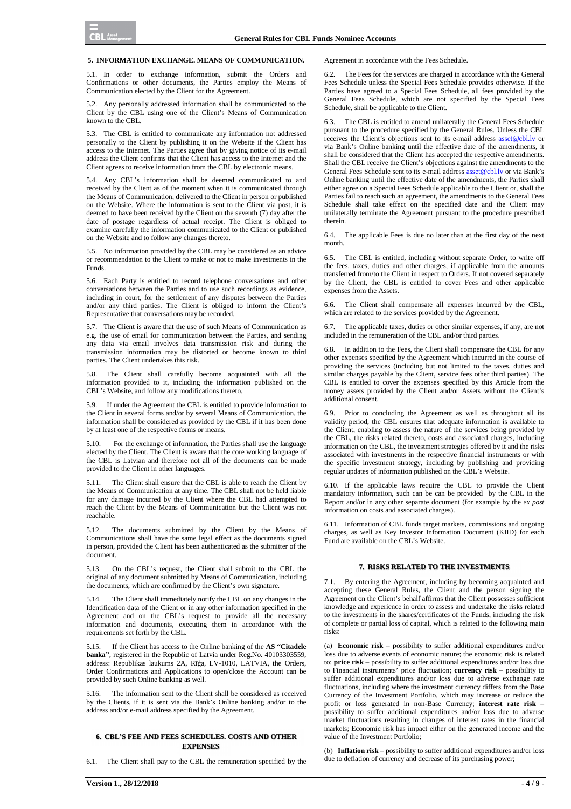#### **5. INFORMATION EXCHANGE. MEANS OF COMMUNICATION.**

5.1. In order to exchange information, submit the Orders and Confirmations or other documents, the Parties employ the Means of Communication elected by the Client for the Agreement.

5.2. Any personally addressed information shall be communicated to the Client by the CBL using one of the Client's Means of Communication known to the CBL.

5.3. The CBL is entitled to communicate any information not addressed personally to the Client by publishing it on the Website if the Client has access to the Internet. The Parties agree that by giving notice of its e-mail address the Client confirms that the Client has access to the Internet and the Client agrees to receive information from the CBL by electronic means.

5.4. Any CBL's information shall be deemed communicated to and received by the Client as of the moment when it is communicated through the Means of Communication, delivered to the Client in person or published on the Website. Where the information is sent to the Client via post, it is deemed to have been received by the Client on the seventh (7) day after the date of postage regardless of actual receipt. The Client is obliged to examine carefully the information communicated to the Client or published on the Website and to follow any changes thereto.

5.5. No information provided by the CBL may be considered as an advice or recommendation to the Client to make or not to make investments in the Funds.

5.6. Each Party is entitled to record telephone conversations and other conversations between the Parties and to use such recordings as evidence, including in court, for the settlement of any disputes between the Parties and/or any third parties. The Client is obliged to inform the Client's Representative that conversations may be recorded.

5.7. The Client is aware that the use of such Means of Communication as e.g. the use of email for communication between the Parties, and sending any data via email involves data transmission risk and during the transmission information may be distorted or become known to third parties. The Client undertakes this risk.

The Client shall carefully become acquainted with all the information provided to it, including the information published on the CBL's Website, and follow any modifications thereto.

5.9. If under the Agreement the CBL is entitled to provide information to the Client in several forms and/or by several Means of Communication, the information shall be considered as provided by the CBL if it has been done by at least one of the respective forms or means.

5.10. For the exchange of information, the Parties shall use the language elected by the Client. The Client is aware that the core working language of the CBL is Latvian and therefore not all of the documents can be made provided to the Client in other languages.

5.11. The Client shall ensure that the CBL is able to reach the Client by the Means of Communication at any time. The CBL shall not be held liable for any damage incurred by the Client where the CBL had attempted to reach the Client by the Means of Communication but the Client was not reachable.

5.12. The documents submitted by the Client by the Means of Communications shall have the same legal effect as the documents signed in person, provided the Client has been authenticated as the submitter of the document.

5.13. On the CBL's request, the Client shall submit to the CBL the original of any document submitted by Means of Communication, including the documents, which are confirmed by the Client's own signature.

5.14. The Client shall immediately notify the CBL on any changes in the Identification data of the Client or in any other information specified in the Agreement and on the CBL's request to provide all the necessary information and documents, executing them in accordance with the requirements set forth by the CBL.

5.15. If the Client has access to the Online banking of the **AS "Citadele banka"**, registered in the Republic of Latvia under Reg.No. 40103303559, address: Republikas laukums 2A, Rīģa, LV-1010, LATVIA, the Orders, Order Confirmations and Applications to open/close the Account can be provided by such Online banking as well.

5.16. The information sent to the Client shall be considered as received by the Clients, if it is sent via the Bank's Online banking and/or to the address and/or e-mail address specified by the Agreement.

# **6. CBL'S FEE AND FEES SCHEDULES. COSTS AND OTHER EXPENSES**

6.1. The Client shall pay to the CBL the remuneration specified by the

Fees Schedule unless the Special Fees Schedule provides otherwise. If the Parties have agreed to a Special Fees Schedule, all fees provided by the General Fees Schedule, which are not specified by the Special Fees Schedule, shall be applicable to the Client.

Agreement in accordance with the Fees Schedule.

6.3. The CBL is entitled to amend unilaterally the General Fees Schedule pursuant to the procedure specified by the General Rules. Unless the CBL receives the Client's objections sent to its e-mail address asset@cbl.lv or via Bank's Online banking until the effective date of the amendments, it shall be considered that the Client has accepted the respective amendments. Shall the CBL receive the Client's objections against the amendments to the General Fees Schedule sent to its e-mail address **asset@cbl.lv** or via Bank's Online banking until the effective date of the amendments, the Parties shall either agree on a Special Fees Schedule applicable to the Client or, shall the Parties fail to reach such an agreement, the amendments to the General Fees Schedule shall take effect on the specified date and the Client may unilaterally terminate the Agreement pursuant to the procedure prescribed therein.

6.2. The Fees for the services are charged in accordance with the General

6.4. The applicable Fees is due no later than at the first day of the next month.

6.5. The CBL is entitled, including without separate Order, to write off the fees, taxes, duties and other charges, if applicable from the amounts transferred from/to the Client in respect to Orders. If not covered separately by the Client, the CBL is entitled to cover Fees and other applicable expenses from the Assets.

6.6. The Client shall compensate all expenses incurred by the CBL, which are related to the services provided by the Agreement.

6.7. The applicable taxes, duties or other similar expenses, if any, are not included in the remuneration of the CBL and/or third parties.

6.8. In addition to the Fees, the Client shall compensate the CBL for any other expenses specified by the Agreement which incurred in the course of providing the services (including but not limited to the taxes, duties and similar charges payable by the Client, service fees other third parties). The CBL is entitled to cover the expenses specified by this Article from the money assets provided by the Client and/or Assets without the Client's additional consent.

6.9. Prior to concluding the Agreement as well as throughout all its validity period, the CBL ensures that adequate information is available to the Client, enabling to assess the nature of the services being provided by the CBL, the risks related thereto, costs and associated charges, including information on the CBL, the investment strategies offered by it and the risks associated with investments in the respective financial instruments or with the specific investment strategy, including by publishing and providing regular updates of information published on the CBL's Website.

6.10. If the applicable laws require the CBL to provide the Client mandatory information, such can be can be provided by the CBL in the Report and/or in any other separate document (for example by the *ex post*  information on costs and associated charges).

6.11. Information of CBL funds target markets, commissions and ongoing charges, as well as Key Investor Information Document (KIID) for each Fund are available on the CBL's Website.

# **7. RISKS RELATED TO THE INVESTMENTS**

7.1. By entering the Agreement, including by becoming acquainted and accepting these General Rules, the Client and the person signing the Agreement on the Client's behalf affirms that the Client possesses sufficient knowledge and experience in order to assess and undertake the risks related to the investments in the shares/certificates of the Funds, including the risk of complete or partial loss of capital, which is related to the following main risks:

(a) **Economic risk** – possibility to suffer additional expenditures and/or loss due to adverse events of economic nature; the economic risk is related to: **price risk** – possibility to suffer additional expenditures and/or loss due to Financial instruments' price fluctuation; **currency risk** – possibility to suffer additional expenditures and/or loss due to adverse exchange rate fluctuations, including where the investment currency differs from the Base Currency of the Investment Portfolio, which may increase or reduce the profit or loss generated in non-Base Currency; **interest rate risk** – possibility to suffer additional expenditures and/or loss due to adverse market fluctuations resulting in changes of interest rates in the financial markets; Economic risk has impact either on the generated income and the value of the Investment Portfolio;

(b) **Inflation risk** – possibility to suffer additional expenditures and/or loss due to deflation of currency and decrease of its purchasing power;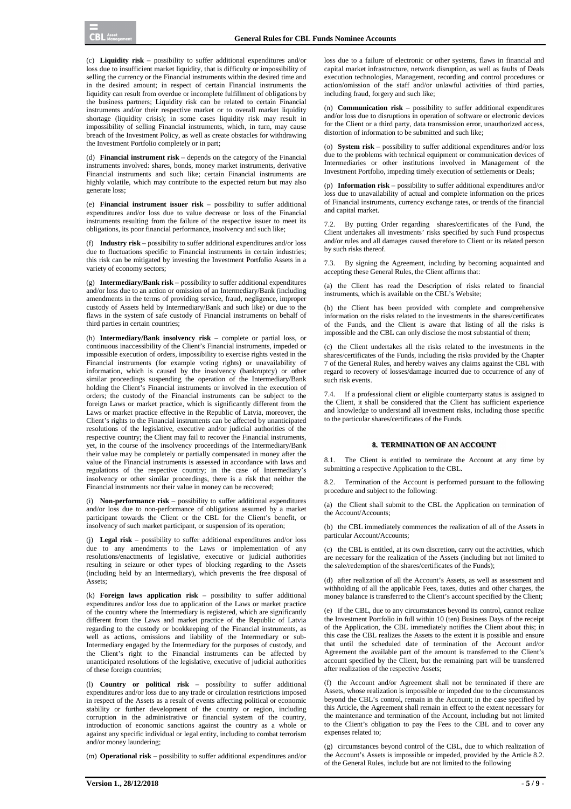(c) **Liquidity risk** – possibility to suffer additional expenditures and/or loss due to insufficient market liquidity, that is difficulty or impossibility of selling the currency or the Financial instruments within the desired time and in the desired amount; in respect of certain Financial instruments the liquidity can result from overdue or incomplete fulfillment of obligations by the business partners; Liquidity risk can be related to certain Financial instruments and/or their respective market or to overall market liquidity shortage (liquidity crisis); in some cases liquidity risk may result in impossibility of selling Financial instruments, which, in turn, may cause breach of the Investment Policy, as well as create obstacles for withdrawing the Investment Portfolio completely or in part;

(d) **Financial instrument risk** – depends on the category of the Financial instruments involved: shares, bonds, money market instruments, derivative Financial instruments and such like; certain Financial instruments are highly volatile, which may contribute to the expected return but may also generate loss;

(e) **Financial instrument issuer risk** – possibility to suffer additional expenditures and/or loss due to value decrease or loss of the Financial instruments resulting from the failure of the respective issuer to meet its obligations, its poor financial performance, insolvency and such like;

(f) **Industry risk** – possibility to suffer additional expenditures and/or loss due to fluctuations specific to Financial instruments in certain industries; this risk can be mitigated by investing the Investment Portfolio Assets in a variety of economy sectors;

(g) **Intermediary/Bank risk** – possibility to suffer additional expenditures and/or loss due to an action or omission of an Intermediary/Bank (including amendments in the terms of providing service, fraud, negligence, improper custody of Assets held by Intermediary/Bank and such like) or due to the flaws in the system of safe custody of Financial instruments on behalf of third parties in certain countries;

(h) **Intermediary/Bank insolvency risk** – complete or partial loss, or continuous inaccessibility of the Client's Financial instruments, impeded or impossible execution of orders, impossibility to exercise rights vested in the Financial instruments (for example voting rights) or unavailability of information, which is caused by the insolvency (bankruptcy) or other similar proceedings suspending the operation of the Intermediary/Bank holding the Client's Financial instruments or involved in the execution of orders; the custody of the Financial instruments can be subject to the foreign Laws or market practice, which is significantly different from the Laws or market practice effective in the Republic of Latvia, moreover, the Client's rights to the Financial instruments can be affected by unanticipated resolutions of the legislative, executive and/or judicial authorities of the respective country; the Client may fail to recover the Financial instruments, yet, in the course of the insolvency proceedings of the Intermediary/Bank their value may be completely or partially compensated in money after the value of the Financial instruments is assessed in accordance with laws and regulations of the respective country; in the case of Intermediary's insolvency or other similar proceedings, there is a risk that neither the Financial instruments nor their value in money can be recovered;

(i) **Non-performance risk** – possibility to suffer additional expenditures and/or loss due to non-performance of obligations assumed by a market participant towards the Client or the CBL for the Client's benefit, or insolvency of such market participant, or suspension of its operation;

(j) **Legal risk** – possibility to suffer additional expenditures and/or loss due to any amendments to the Laws or implementation of any resolutions/enactments of legislative, executive or judicial authorities resulting in seizure or other types of blocking regarding to the Assets (including held by an Intermediary), which prevents the free disposal of Assets;

(k) **Foreign laws application risk** *–* possibility to suffer additional expenditures and/or loss due to application of the Laws or market practice of the country where the Intermediary is registered, which are significantly different from the Laws and market practice of the Republic of Latvia regarding to the custody or bookkeeping of the Financial instruments, as well as actions, omissions and liability of the Intermediary or sub-Intermediary engaged by the Intermediary for the purposes of custody, and the Client's right to the Financial instruments can be affected by unanticipated resolutions of the legislative, executive of judicial authorities of these foreign countries;

(l) **Country or political risk** – possibility to suffer additional expenditures and/or loss due to any trade or circulation restrictions imposed in respect of the Assets as a result of events affecting political or economic stability or further development of the country or region, including corruption in the administrative or financial system of the country, introduction of economic sanctions against the country as a whole or against any specific individual or legal entity, including to combat terrorism and/or money laundering;

(m) **Operational risk** – possibility to suffer additional expenditures and/or

loss due to a failure of electronic or other systems, flaws in financial and capital market infrastructure, network disruption, as well as faults of Deals execution technologies, Management, recording and control procedures or action/omission of the staff and/or unlawful activities of third parties, including fraud, forgery and such like;

(n) **Communication risk** – possibility to suffer additional expenditures and/or loss due to disruptions in operation of software or electronic devices for the Client or a third party, data transmission error, unauthorized access, distortion of information to be submitted and such like;

(o) **System risk** – possibility to suffer additional expenditures and/or loss due to the problems with technical equipment or communication devices of Intermediaries or other institutions involved in Management of the Investment Portfolio, impeding timely execution of settlements or Deals;

(p) **Information risk** – possibility to suffer additional expenditures and/or loss due to unavailability of actual and complete information on the prices of Financial instruments, currency exchange rates, or trends of the financial and capital market.

7.2. By putting Order regarding shares/certificates of the Fund, the Client undertakes all investments' risks specified by such Fund prospectus and/or rules and all damages caused therefore to Client or its related person by such risks thereof.

7.3. By signing the Agreement, including by becoming acquainted and accepting these General Rules, the Client affirms that:

(a) the Client has read the Description of risks related to financial instruments, which is available on the CBL's Website;

(b) the Client has been provided with complete and comprehensive information on the risks related to the investments in the shares/certificates of the Funds, and the Client is aware that listing of all the risks is impossible and the CBL can only disclose the most substantial of them;

(c) the Client undertakes all the risks related to the investments in the shares/certificates of the Funds, including the risks provided by the Chapter 7 of the General Rules, and hereby waives any claims against the CBL with regard to recovery of losses/damage incurred due to occurrence of any of such risk events.

If a professional client or eligible counterparty status is assigned to the Client, it shall be considered that the Client has sufficient experience and knowledge to understand all investment risks, including those specific to the particular shares/certificates of the Funds.

## **8. TERMINATION OF AN ACCOUNT**

8.1. The Client is entitled to terminate the Account at any time by submitting a respective Application to the CBL.

Termination of the Account is performed pursuant to the following procedure and subject to the following:

(a) the Client shall submit to the CBL the Application on termination of the Account/Accounts;

(b) the CBL immediately commences the realization of all of the Assets in particular Account/Accounts;

(c) the CBL is entitled, at its own discretion, carry out the activities, which are necessary for the realization of the Assets (including but not limited to the sale/redemption of the shares/certificates of the Funds);

(d) after realization of all the Account's Assets, as well as assessment and withholding of all the applicable Fees, taxes, duties and other charges, the money balance is transferred to the Client's account specified by the Client;

(e) if the CBL, due to any circumstances beyond its control, cannot realize the Investment Portfolio in full within 10 (ten) Business Days of the receipt of the Application, the CBL immediately notifies the Client about this; in this case the CBL realizes the Assets to the extent it is possible and ensure that until the scheduled date of termination of the Account and/or Agreement the available part of the amount is transferred to the Client's account specified by the Client, but the remaining part will be transferred after realization of the respective Assets;

(f) the Account and/or Agreement shall not be terminated if there are Assets, whose realization is impossible or impeded due to the circumstances beyond the CBL's control, remain in the Account; in the case specified by this Article, the Agreement shall remain in effect to the extent necessary for the maintenance and termination of the Account, including but not limited to the Client's obligation to pay the Fees to the CBL and to cover any expenses related to;

(g) circumstances beyond control of the CBL, due to which realization of the Account's Assets is impossible or impeded, provided by the Article 8.2. of the General Rules, include but are not limited to the following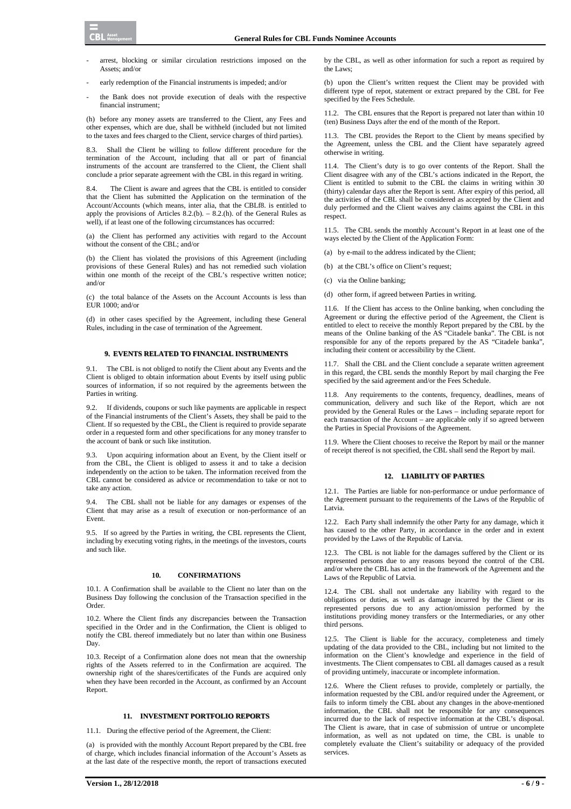- arrest, blocking or similar circulation restrictions imposed on the Assets; and/or
- early redemption of the Financial instruments is impeded; and/or
- the Bank does not provide execution of deals with the respective financial instrument;

(h) before any money assets are transferred to the Client, any Fees and other expenses, which are due, shall be withheld (included but not limited to the taxes and fees charged to the Client, service charges of third parties).

8.3. Shall the Client be willing to follow different procedure for the termination of the Account, including that all or part of financial instruments of the account are transferred to the Client, the Client shall conclude a prior separate agreement with the CBL in this regard in writing.

The Client is aware and agrees that the CBL is entitled to consider that the Client has submitted the Application on the termination of the Account/Accounts (which means, inter alia, that the CBLf8. is entitled to apply the provisions of Articles  $8.2(p) = 8.2(p)$ . of the General Rules as well), if at least one of the following circumstances has occurred:

(a) the Client has performed any activities with regard to the Account without the consent of the CBL; and/or

(b) the Client has violated the provisions of this Agreement (including provisions of these General Rules) and has not remedied such violation within one month of the receipt of the CBL's respective written notice; and/or

(c) the total balance of the Assets on the Account Accounts is less than EUR 1000; and/or

(d) in other cases specified by the Agreement, including these General Rules, including in the case of termination of the Agreement.

# **9. EVENTS RELATED TO FINANCIAL INSTRUMENTS**

9.1. The CBL is not obliged to notify the Client about any Events and the Client is obliged to obtain information about Events by itself using public sources of information, if so not required by the agreements between the Parties in writing.

9.2. If dividends, coupons or such like payments are applicable in respect of the Financial instruments of the Client's Assets, they shall be paid to the Client. If so requested by the CBL, the Client is required to provide separate order in a requested form and other specifications for any money transfer to the account of bank or such like institution.

9.3. Upon acquiring information about an Event, by the Client itself or from the CBL, the Client is obliged to assess it and to take a decision independently on the action to be taken. The information received from the CBL cannot be considered as advice or recommendation to take or not to take any action.

9.4. The CBL shall not be liable for any damages or expenses of the Client that may arise as a result of execution or non-performance of an Event.

9.5. If so agreed by the Parties in writing, the CBL represents the Client, including by executing voting rights, in the meetings of the investors, courts and such like.

# **10. CONFIRMATIONS**

10.1. A Confirmation shall be available to the Client no later than on the Business Day following the conclusion of the Transaction specified in the Order.

10.2. Where the Client finds any discrepancies between the Transaction specified in the Order and in the Confirmation, the Client is obliged to notify the CBL thereof immediately but no later than within one Business Day.

10.3. Receipt of a Confirmation alone does not mean that the ownership rights of the Assets referred to in the Confirmation are acquired. The ownership right of the shares/certificates of the Funds are acquired only when they have been recorded in the Account, as confirmed by an Account Report.

#### **11. INVESTMENT PORTFOLIO REPORTS**

11.1. During the effective period of the Agreement, the Client:

(a) is provided with the monthly Account Report prepared by the CBL free of charge, which includes financial information of the Account's Assets as at the last date of the respective month, the report of transactions executed by the CBL, as well as other information for such a report as required by the Laws;

(b) upon the Client's written request the Client may be provided with different type of repot, statement or extract prepared by the CBL for Fee specified by the Fees Schedule.

11.2. The CBL ensures that the Report is prepared not later than within 10 (ten) Business Days after the end of the month of the Report.

11.3. The CBL provides the Report to the Client by means specified by the Agreement, unless the CBL and the Client have separately agreed otherwise in writing.

11.4. The Client's duty is to go over contents of the Report. Shall the Client disagree with any of the CBL's actions indicated in the Report, the Client is entitled to submit to the CBL the claims in writing within 30 (thirty) calendar days after the Report is sent. After expiry of this period, all the activities of the CBL shall be considered as accepted by the Client and duly performed and the Client waives any claims against the CBL in this respect.

11.5. The CBL sends the monthly Account's Report in at least one of the ways elected by the Client of the Application Form:

(a) by e-mail to the address indicated by the Client;

(b) at the CBL's office on Client's request;

(c) via the Online banking;

(d) other form, if agreed between Parties in writing.

11.6. If the Client has access to the Online banking, when concluding the Agreement or during the effective period of the Agreement, the Client is entitled to elect to receive the monthly Report prepared by the CBL by the means of the Online banking of the AS "Citadele banka". The CBL is not responsible for any of the reports prepared by the AS "Citadele banka", including their content or accessibility by the Client.

11.7. Shall the CBL and the Client conclude a separate written agreement in this regard, the CBL sends the monthly Report by mail charging the Fee specified by the said agreement and/or the Fees Schedule.

11.8. Any requirements to the contents, frequency, deadlines, means of communication, delivery and such like of the Report, which are not provided by the General Rules or the Laws – including separate report for each transaction of the Account – are applicable only if so agreed between the Parties in Special Provisions of the Agreement.

11.9. Where the Client chooses to receive the Report by mail or the manner of receipt thereof is not specified, the CBL shall send the Report by mail.

# **12. LIABILITY OF PARTIES**

12.1. The Parties are liable for non-performance or undue performance of the Agreement pursuant to the requirements of the Laws of the Republic of Latvia.

12.2. Each Party shall indemnify the other Party for any damage, which it has caused to the other Party, in accordance in the order and in extent provided by the Laws of the Republic of Latvia.

12.3. The CBL is not liable for the damages suffered by the Client or its represented persons due to any reasons beyond the control of the CBL and/or where the CBL has acted in the framework of the Agreement and the Laws of the Republic of Latvia.

12.4. The CBL shall not undertake any liability with regard to the obligations or duties, as well as damage incurred by the Client or its represented persons due to any action/omission performed by the institutions providing money transfers or the Intermediaries, or any other third persons.

12.5. The Client is liable for the accuracy, completeness and timely updating of the data provided to the CBL, including but not limited to the information on the Client's knowledge and experience in the field of investments. The Client compensates to CBL all damages caused as a result of providing untimely, inaccurate or incomplete information.

12.6. Where the Client refuses to provide, completely or partially, the information requested by the CBL and/or required under the Agreement, or fails to inform timely the CBL about any changes in the above-mentioned information, the CBL shall not be responsible for any consequences incurred due to the lack of respective information at the CBL's disposal. The Client is aware, that in case of submission of untrue or uncomplete information, as well as not updated on time, the CBL is unable to completely evaluate the Client's suitability or adequacy of the provided services.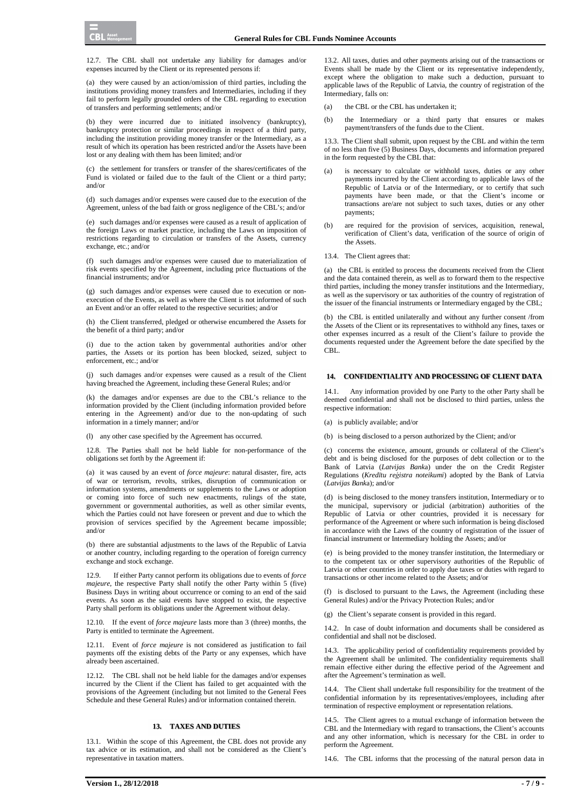12.7. The CBL shall not undertake any liability for damages and/or expenses incurred by the Client or its represented persons if:

(a) they were caused by an action/omission of third parties, including the institutions providing money transfers and Intermediaries, including if they fail to perform legally grounded orders of the CBL regarding to execution of transfers and performing settlements; and/or

(b) they were incurred due to initiated insolvency (bankruptcy), bankruptcy protection or similar proceedings in respect of a third party, including the institution providing money transfer or the Intermediary, as a result of which its operation has been restricted and/or the Assets have been lost or any dealing with them has been limited; and/or

(c) the settlement for transfers or transfer of the shares/certificates of the Fund is violated or failed due to the fault of the Client or a third party; and/or

(d) such damages and/or expenses were caused due to the execution of the Agreement, unless of the bad faith or gross negligence of the CBL's; and/or

(e) such damages and/or expenses were caused as a result of application of the foreign Laws or market practice, including the Laws on imposition of restrictions regarding to circulation or transfers of the Assets, currency exchange, etc.; and/or

(f) such damages and/or expenses were caused due to materialization of risk events specified by the Agreement, including price fluctuations of the financial instruments; and/or

(g) such damages and/or expenses were caused due to execution or nonexecution of the Events, as well as where the Client is not informed of such an Event and/or an offer related to the respective securities; and/or

(h) the Client transferred, pledged or otherwise encumbered the Assets for the benefit of a third party; and/or

(i) due to the action taken by governmental authorities and/or other parties, the Assets or its portion has been blocked, seized, subject to enforcement, etc.; and/or

(j) such damages and/or expenses were caused as a result of the Client having breached the Agreement, including these General Rules; and/or

(k) the damages and/or expenses are due to the CBL's reliance to the information provided by the Client (including information provided before entering in the Agreement) and/or due to the non-updating of such information in a timely manner; and/or

(l) any other case specified by the Agreement has occurred.

12.8. The Parties shall not be held liable for non-performance of the obligations set forth by the Agreement if:

(a) it was caused by an event of *force majeure*: natural disaster, fire, acts of war or terrorism, revolts, strikes, disruption of communication or information systems, amendments or supplements to the Laws or adoption or coming into force of such new enactments, rulings of the state, government or governmental authorities, as well as other similar events, which the Parties could not have foreseen or prevent and due to which the provision of services specified by the Agreement became impossible; and/or

(b) there are substantial adjustments to the laws of the Republic of Latvia or another country, including regarding to the operation of foreign currency exchange and stock exchange.

12.9. If either Party cannot perform its obligations due to events of *force majeure*, the respective Party shall notify the other Party within 5 (five) Business Days in writing about occurrence or coming to an end of the said events. As soon as the said events have stopped to exist, the respective Party shall perform its obligations under the Agreement without delay.

12.10. If the event of *force majeure* lasts more than 3 (three) months, the Party is entitled to terminate the Agreement.

12.11. Event of *force majeure* is not considered as justification to fail payments off the existing debts of the Party or any expenses, which have already been ascertained.

12.12. The CBL shall not be held liable for the damages and/or expenses incurred by the Client if the Client has failed to get acquainted with the provisions of the Agreement (including but not limited to the General Fees Schedule and these General Rules) and/or information contained therein.

## **13. TAXES AND DUTIES**

13.1. Within the scope of this Agreement, the CBL does not provide any tax advice or its estimation, and shall not be considered as the Client's representative in taxation matters.

13.2. All taxes, duties and other payments arising out of the transactions or Events shall be made by the Client or its representative independently, except where the obligation to make such a deduction, pursuant to applicable laws of the Republic of Latvia, the country of registration of the Intermediary, falls on:

#### the CBL or the CBL has undertaken it;

(b) the Intermediary or a third party that ensures or makes payment/transfers of the funds due to the Client.

13.3. The Client shall submit, upon request by the CBL and within the term of no less than five (5) Business Days, documents and information prepared in the form requested by the CBL that:

- (a) is necessary to calculate or withhold taxes, duties or any other payments incurred by the Client according to applicable laws of the Republic of Latvia or of the Intermediary, or to certify that such payments have been made, or that the Client's income or transactions are/are not subject to such taxes, duties or any other payments;
- (b) are required for the provision of services, acquisition, renewal, verification of Client's data, verification of the source of origin of the Assets.

13.4. The Client agrees that:

(a) the CBL is entitled to process the documents received from the Client and the data contained therein, as well as to forward them to the respective third parties, including the money transfer institutions and the Intermediary, as well as the supervisory or tax authorities of the country of registration of the issuer of the financial instruments or Intermediary engaged by the CBL;

(b) the CBL is entitled unilaterally and without any further consent /from the Assets of the Client or its representatives to withhold any fines, taxes or other expenses incurred as a result of the Client's failure to provide the documents requested under the Agreement before the date specified by the CBL.

# **14. CONFIDENTIALITY AND PROCESSING OF CLIENT DATA**

14.1. Any information provided by one Party to the other Party shall be deemed confidential and shall not be disclosed to third parties, unless the respective information:

(a) is publicly available; and/or

(b) is being disclosed to a person authorized by the Client; and/or

(c) concerns the existence, amount, grounds or collateral of the Client's debt and is being disclosed for the purposes of debt collection or to the Bank of Latvia (*Latvijas Banka*) under the on the Credit Register Regulations (*Kredītu reģistra noteikumi*) adopted by the Bank of Latvia (*Latvijas Bank*a); and/or

(d) is being disclosed to the money transfers institution, Intermediary or to the municipal, supervisory or judicial (arbitration) authorities of the Republic of Latvia or other countries, provided it is necessary for performance of the Agreement or where such information is being disclosed in accordance with the Laws of the country of registration of the issuer of financial instrument or Intermediary holding the Assets; and/or

(e) is being provided to the money transfer institution, the Intermediary or to the competent tax or other supervisory authorities of the Republic of Latvia or other countries in order to apply due taxes or duties with regard to transactions or other income related to the Assets; and/or

(f) is disclosed to pursuant to the Laws, the Agreement (including these General Rules) and/or the Privacy Protection Rules; and/or

(g) the Client's separate consent is provided in this regard.

14.2. In case of doubt information and documents shall be considered as confidential and shall not be disclosed.

14.3. The applicability period of confidentiality requirements provided by the Agreement shall be unlimited. The confidentiality requirements shall remain effective either during the effective period of the Agreement and after the Agreement's termination as well.

14.4. The Client shall undertake full responsibility for the treatment of the confidential information by its representatives/employees, including after termination of respective employment or representation relations.

14.5. The Client agrees to a mutual exchange of information between the CBL and the Intermediary with regard to transactions, the Client's accounts and any other information, which is necessary for the CBL in order to perform the Agreement.

14.6. The CBL informs that the processing of the natural person data in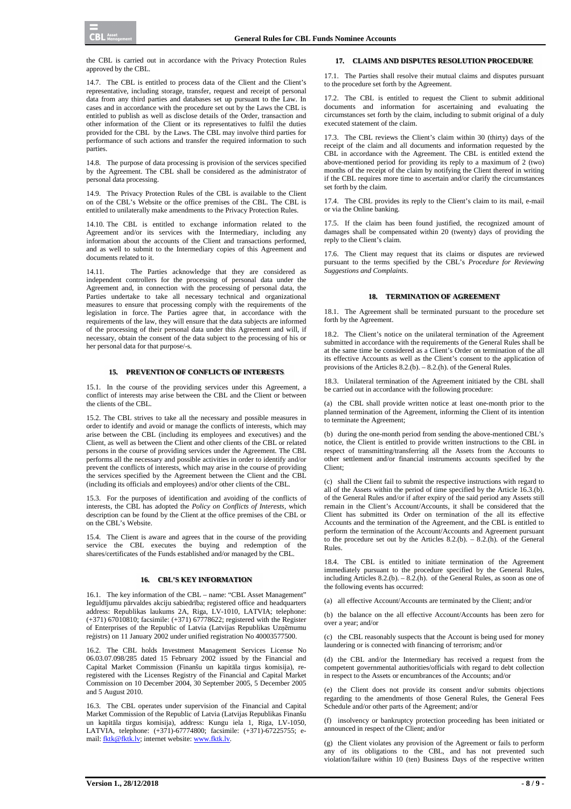the CBL is carried out in accordance with the Privacy Protection Rules approved by the CBL.

14.7. The CBL is entitled to process data of the Client and the Client's representative, including storage, transfer, request and receipt of personal data from any third parties and databases set up pursuant to the Law. In cases and in accordance with the procedure set out by the Laws the CBL is entitled to publish as well as disclose details of the Order, transaction and other information of the Client or its representatives to fulfil the duties provided for the CBL by the Laws. The CBL may involve third parties for performance of such actions and transfer the required information to such parties.

14.8. The purpose of data processing is provision of the services specified by the Agreement. The CBL shall be considered as the administrator of personal data processing.

14.9. The Privacy Protection Rules of the CBL is available to the Client on of the CBL's Website or the office premises of the CBL. The CBL is entitled to unilaterally make amendments to the Privacy Protection Rules.

14.10. The CBL is entitled to exchange information related to the Agreement and/or its services with the Intermediary, including any information about the accounts of the Client and transactions performed, and as well to submit to the Intermediary copies of this Agreement and documents related to it.

14.11. The Parties acknowledge that they are considered as independent controllers for the processing of personal data under the Agreement and, in connection with the processing of personal data, the Parties undertake to take all necessary technical and organizational measures to ensure that processing comply with the requirements of the legislation in force. The Parties agree that, in accordance with the requirements of the law, they will ensure that the data subjects are informed of the processing of their personal data under this Agreement and will, if necessary, obtain the consent of the data subject to the processing of his or her personal data for that purpose/-s.

# **15. PREVENTION OF CONFLICTS OF INTERESTS**

15.1. In the course of the providing services under this Agreement, a conflict of interests may arise between the CBL and the Client or between the clients of the CBL.

15.2. The CBL strives to take all the necessary and possible measures in order to identify and avoid or manage the conflicts of interests, which may arise between the CBL (including its employees and executives) and the Client, as well as between the Client and other clients of the CBL or related persons in the course of providing services under the Agreement. The CBL performs all the necessary and possible activities in order to identify and/or prevent the conflicts of interests, which may arise in the course of providing the services specified by the Agreement between the Client and the CBL (including its officials and employees) and/or other clients of the CBL.

15.3. For the purposes of identification and avoiding of the conflicts of interests, the CBL has adopted the *Policy on Conflicts of Interests,* which description can be found by the Client at the office premises of the CBL or on the CBL's Website.

15.4. The Client is aware and agrees that in the course of the providing service the CBL executes the buying and redemption of the shares/certificates of the Funds established and/or managed by the CBL.

## **16. CBL'S KEY INFORMATION**

16.1. The key information of the CBL – name: "CBL Asset Management" Ieguldījumu pārvaldes akciju sabiedrība; registered office and headquarters address: Republikas laukums 2A, Riga, LV-1010, LATVIA; telephone: (+371) 67010810; facsimile: (+371) 67778622; registered with the Register of Enterprises of the Republic of Latvia (Latvijas Republikas Uzņēmumu reģistrs) on 11 January 2002 under unified registration No 40003577500.

16.2. The CBL holds Investment Management Services License No 06.03.07.098/285 dated 15 February 2002 issued by the Financial and Capital Market Commission (Finanšu un kapitāla tirgus komisija), reregistered with the Licenses Registry of the Financial and Capital Market Commission on 10 December 2004, 30 September 2005, 5 December 2005 and 5 August 2010.

16.3. The CBL operates under supervision of the Financial and Capital Market Commission of the Republic of Latvia (Latvijas Republikas Finanšu un kapitāla tirgus komisija), address: Kungu iela 1, Riga, LV-1050, LATVIA, telephone: (+371)-67774800; facsimile: (+371)-67225755; email: fktk@fktk.lv; internet website: www.fktk.lv.

## **17. CLAIMS AND DISPUTES RESOLUTION PROCEDURE**

17.1. The Parties shall resolve their mutual claims and disputes pursuant to the procedure set forth by the Agreement.

17.2. The CBL is entitled to request the Client to submit additional documents and information for ascertaining and evaluating the circumstances set forth by the claim, including to submit original of a duly executed statement of the claim.

17.3. The CBL reviews the Client's claim within 30 (thirty) days of the receipt of the claim and all documents and information requested by the CBL in accordance with the Agreement. The CBL is entitled extend the above-mentioned period for providing its reply to a maximum of 2 (two) months of the receipt of the claim by notifying the Client thereof in writing if the CBL requires more time to ascertain and/or clarify the circumstances set forth by the claim.

17.4. The CBL provides its reply to the Client's claim to its mail, e-mail or via the Online banking.

17.5. If the claim has been found justified, the recognized amount of damages shall be compensated within 20 (twenty) days of providing the reply to the Client's claim.

17.6. The Client may request that its claims or disputes are reviewed pursuant to the terms specified by the CBL's *Procedure for Reviewing Suggestions and Complaints*.

### **18. TERMINATION OF AGREEMENT**

18.1. The Agreement shall be terminated pursuant to the procedure set forth by the Agreement.

18.2. The Client's notice on the unilateral termination of the Agreement submitted in accordance with the requirements of the General Rules shall be at the same time be considered as a Client's Order on termination of the all its effective Accounts as well as the Client's consent to the application of provisions of the Articles  $8.2(p) = 8.2(p)$ . of the General Rules.

18.3. Unilateral termination of the Agreement initiated by the CBL shall be carried out in accordance with the following procedure:

(a) the CBL shall provide written notice at least one-month prior to the planned termination of the Agreement, informing the Client of its intention to terminate the Agreement;

(b) during the one-month period from sending the above-mentioned CBL's notice, the Client is entitled to provide written instructions to the CBL in respect of transmitting/transferring all the Assets from the Accounts to other settlement and/or financial instruments accounts specified by the Client;

(c) shall the Client fail to submit the respective instructions with regard to all of the Assets within the period of time specified by the Article 16.3.(b). of the General Rules and/or if after expiry of the said period any Assets still remain in the Client's Account/Accounts, it shall be considered that the Client has submitted its Order on termination of the all its effective Accounts and the termination of the Agreement, and the CBL is entitled to perform the termination of the Account/Accounts and Agreement pursuant to the procedure set out by the Articles 8.2.(b).  $-$  8.2.(h). of the General Rules.

18.4. The CBL is entitled to initiate termination of the Agreement immediately pursuant to the procedure specified by the General Rules, including Articles 8.2.(b). – 8.2.(h). of the General Rules, as soon as one of the following events has occurred:

(a) all effective Account/Accounts are terminated by the Client; and/or

(b) the balance on the all effective Account/Accounts has been zero for over a year; and/or

(c) the CBL reasonably suspects that the Account is being used for money laundering or is connected with financing of terrorism; and/or

(d) the CBL and/or the Intermediary has received a request from the competent governmental authorities/officials with regard to debt collection in respect to the Assets or encumbrances of the Accounts; and/or

(e) the Client does not provide its consent and/or submits objections regarding to the amendments of those General Rules, the General Fees Schedule and/or other parts of the Agreement; and/or

(f) insolvency or bankruptcy protection proceeding has been initiated or announced in respect of the Client; and/or

(g) the Client violates any provision of the Agreement or fails to perform any of its obligations to the CBL, and has not prevented such violation/failure within 10 (ten) Business Days of the respective written